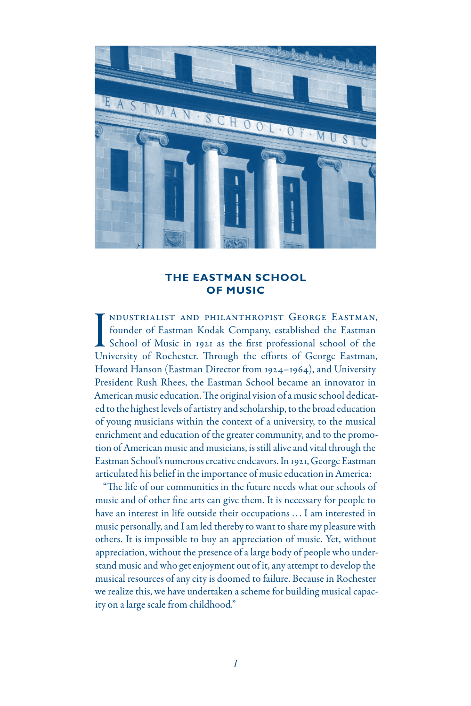

## **THE EASTMAN SCHOOL OF MUSIC**

I<br>Un ndustrialist and philanthropist George Eastman, founder of Eastman Kodak Company, established the Eastman School of Music in 1921 as the first professional school of the University of Rochester. Through the efforts of George Eastman, Howard Hanson (Eastman Director from 1924–1964), and University President Rush Rhees, the Eastman School became an innovator in American music education. The original vision of a music school dedicated to the highest levels of artistry and scholarship, to the broad education of young musicians within the context of a university, to the musical enrichment and education of the greater community, and to the promotion of American music and musicians, is still alive and vital through the Eastman School's numerous creative endeavors. In 1921, George Eastman articulated his belief in the importance of music education in America:

"The life of our communities in the future needs what our schools of music and of other fine arts can give them. It is necessary for people to have an interest in life outside their occupations ... I am interested in music personally, and I am led thereby to want to share my pleasure with others. It is impossible to buy an appreciation of music. Yet, without appreciation, without the presence of a large body of people who understand music and who get enjoyment out of it, any attempt to develop the musical resources of any city is doomed to failure. Because in Rochester we realize this, we have undertaken a scheme for building musical capacity on a large scale from childhood."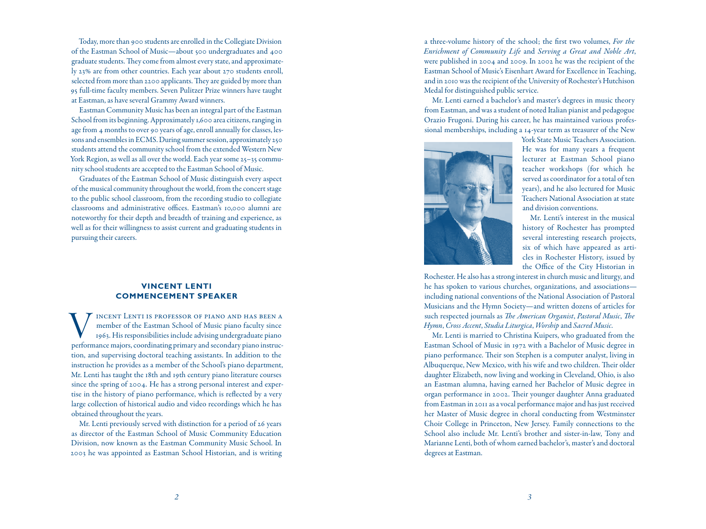Today, more than 900 students are enrolled in the Collegiate Division of the Eastman School of Music—about 500 undergraduates and 400 graduate students. They come from almost every state, and approximate ly 23% are from other countries. Each year about 270 students enroll, selected from more than 2200 applicants. They are guided by more than 95 full-time faculty members. Seven Pulitzer Prize winners have taught at Eastman, as have several Grammy Award winners.

Eastman Community Music has been an integral part of the Eastman School from its beginning. Approximately 1,600 area citizens, ranging in age from 4 months to over 90 years of age, enroll annually for classes, les sons and ensembles in ECMS. During summer session, approximately 250 students attend the community school from the extended Western New York Region, as well as all over the world. Each year some 25–35 commu nity school students are accepted to the Eastman School of Music.

Graduates of the Eastman School of Music distinguish every aspect of the musical community throughout the world, from the concert stage to the public school classroom, from the recording studio to collegiate classrooms and administrative offices. Eastman's 10,000 alumni are noteworthy for their depth and breadth of training and experience, as well as for their willingness to assist current and graduating students in pursuing their careers.

## **VINCENT LENTI COMMENCEMENT SPEAKER**

INCENT LENTI IS PROFESSOR OF PIANO AND HAS BEEN A<br>member of the Eastman School of Music piano faculty since<br>1963. His responsibilities include advising undergraduate piano<br>performance majors, coordinating primary and secon member of the Eastman School of Music piano faculty since 1963. His responsibilities include advising undergraduate piano performance majors, coordinating primary and secondary piano instruc tion, and supervising doctoral teaching assistants. In addition to the instruction he provides as a member of the School's piano department, Mr. Lenti has taught the 18th and 19th century piano literature courses since the spring of 2004. He has a strong personal interest and exper tise in the history of piano performance, which is reflected by a very large collection of historical audio and video recordings which he has obtained throughout the years.

Mr. Lenti previously served with distinction for a period of 26 years as director of the Eastman School of Music Community Education Division, now known as the Eastman Community Music School. In 2003 he was appointed as Eastman School Historian, and is writing a three-volume history of the school; the first two volumes, *For the Enrichment of Community Life* and *Serving a Great and Noble Art*, were published in 2004 and 2009. In 2002 he was the recipient of the Eastman School of Music's Eisenhart Award for Excellence in Teaching, and in 2010 was the recipient of the University of Rochester's Hutchison Medal for distinguished public service.

Mr. Lenti earned a bachelor's and master's degrees in music theory from Eastman, and was a student of noted Italian pianist and pedagogue Orazio Frugoni. During his career, he has maintained various profes sional memberships, including a 14-year term as treasurer of the New



York State Music Teachers Association. He was for many years a frequent lecturer at Eastman School piano teacher workshops (for which he served as coordinator for a total of ten years), and he also lectured for Music Teachers National Association at state and division conventions.

Mr. Lenti's interest in the musical history of Rochester has prompted several interesting research projects, six of which have appeared as arti cles in Rochester History, issued by the Office of the City Historian in

Rochester. He also has a strong interest in church music and liturgy, and he has spoken to various churches, organizations, and associations including national conventions of the National Association of Pastoral Musicians and the Hymn Society—and written dozens of articles for such respected journals as *The American Organist*, *Pastoral Music*, *The Hymn*, *Cross Accent*, *Studia Liturgica*, *Worship* and *Sacred Music* .

Mr. Lenti is married to Christina Kuipers, who graduated from the Eastman School of Music in 1972 with a Bachelor of Music degree in piano performance. Their son Stephen is a computer analyst, living in Albuquerque, New Mexico, with his wife and two children. Their older daughter Elizabeth, now living and working in Cleveland, Ohio, is also an Eastman alumna, having earned her Bachelor of Music degree in organ performance in 2002. Their younger daughter Anna graduated from Eastman in 2011 as a vocal performance major and has just received her Master of Music degree in choral conducting from Westminster Choir College in Princeton, New Jersey. Family connections to the School also include Mr. Lenti's brother and sister-in-law, Tony and Marianne Lenti, both of whom earned bachelor's, master's and doctoral degrees at Eastman.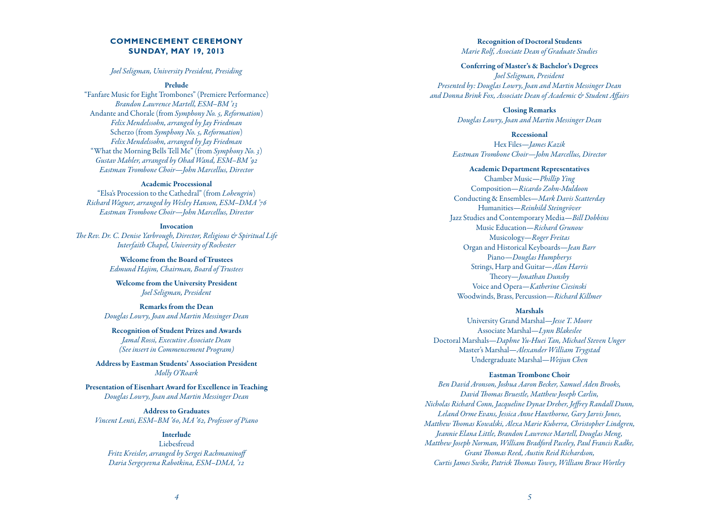# **COMMENCEMENT CEREMONY SUNDAY, MAY 19, 2013**

### *Joel Seligman, University President, Presiding*

### Prelude

"Fanfare Music for Eight Trombones" (Premiere Performance) *Brandon Lawrence Martell, ESM–BM '13* Andante and Chorale (from *Symphony No. 5, Reformation* ) *Felix Mendelssohn, arranged by Jay Friedman* Scherzo (from *Symphony No. 5, Reformation* ) *Felix Mendelssohn, arranged by Jay Friedman* "What the Morning Bells Tell Me" (from *Symphony No. 3* ) *Gustav Mahler, arranged by Ohad Wand, ESM–BM '92 Eastman Trombone Choir—John Marcellus, Director*

#### Academic Processional

"Elsa's Procession to the Cathedral" (from *Lohengrin* ) *Richard Wagner, arranged by Wesley Hanson, ESM–DMA '76 Eastman Trombone Choir—John Marcellus, Director*

#### Invocation

*The Rev. Dr. C. Denise Yarbrough, Director, Religious & Spiritual Life Interfaith Chapel, University of Rochester*

> Welcome from the Board of Trustees *Edmund Hajim, Chairman, Board of Trustees*

Welcome from the University President *Joel Seligman, President*

Remarks from the Dean *Douglas Lowry, Joan and Martin Messinger Dean*

Recognition of Student Prizes and Awards *Jamal Rossi, Executive Associate Dean (See insert in Commencement Program)*

Address by Eastman Students' Association President *Molly O'Roark*

Presentation of Eisenhart Award for Excellence in Teaching *Douglas Lowry, Joan and Martin Messinger Dean*

Address to Graduates *Vincent Lenti, ESM–BM '60, MA '62, Professor of Piano*

## Interlude

Liebesfreud *Fritz Kreisler, arranged by Sergei Rachmaninoff Daria Sergeyevna Rabotkina, ESM–DMA, '12*

Recognition of Doctoral Students *Marie Rolf, Associate Dean of Graduate Studies*

#### Conferring of Master's & Bachelor's Degrees

*Joel Seligman, President Presented by: Douglas Lowry, Joan and Martin Messinger Dean and Donna Brink Fox, Associate Dean of Academic & Student Affairs*

> Closing Remarks *Douglas Lowry, Joan and Martin Messinger Dean*

#### Recessional

Hex Files—*James Kazik Eastman Trombone Choir—John Marcellus, Director*

### Academic Department Representatives

Chamber Music—*Phillip Ying* Composition—*Ricardo Zohn-Muldoon* Conducting & Ensembles—*Mark Davis Scatterday* Humanities—*Reinhild Steingröver* Jazz Studies and Contemporary Media—*Bill Dobbins* Music Education—*Richard Grunow* Musicology—*Roger Freitas* Organ and Historical Keyboards—*Jean Barr* Piano—*Douglas Humpherys* Strings, Harp and Guitar—*Alan Harris* Theory—*Jonathan Dunsby* Voice and Opera—*Katherine Ciesinski* Woodwinds, Brass, Percussion—*Richard Killmer*

#### Marshals

University Grand Marshal—*Jesse T. Moore* Associate Marshal—*Lynn Blakeslee* Doctoral Marshals—*Daphne Yu-Huei Tan, Michael Steven Unger* Master's Marshal—*Alexander William Trygstad* Undergraduate Marshal—*Weijun Chen*

#### Eastman Trombone Choir

*Ben David Aronson, Joshua Aaron Becker, Samuel Aden Brooks, David Thomas Bruestle, Matthew Joseph Carlin, Nicholas Richard Conn, Jacqueline Dynae Dreher, Jeffrey Randall Dunn, Leland Orme Evans, Jessica Anne Hawthorne, Gary Jarvis Jones, Matthew Thomas Kowalski, Alexa Marie Kuberra, Christopher Lindgren, Jeannie Elana Little, Brandon Lawrence Martell, Douglas Meng, Matthew Joseph Norman, William Bradford Paceley, Paul Francis Radke, Grant Thomas Reed, Austin Reid Richardson, Curtis James Swike, Patrick Thomas Towey, William Bruce Wortley*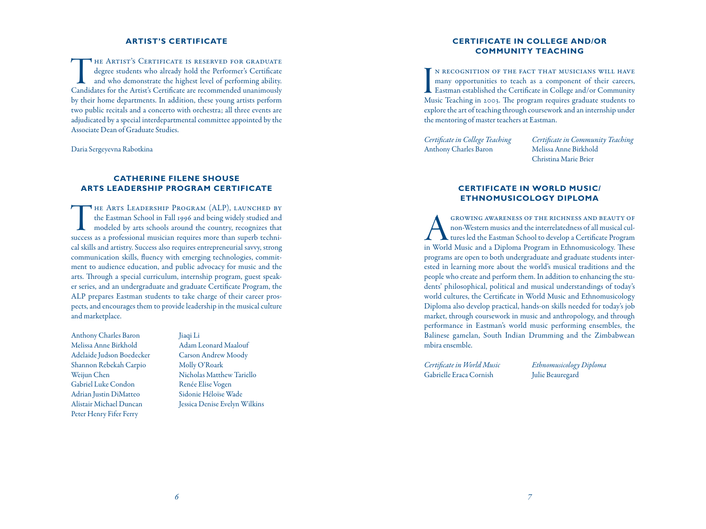### **ARTIST'S CERTIFICATE**

THE ARTIST'S CERTIFICATE IS RESERVED FOR GRADUATE<br>degree students who already hold the Performer's Certificate<br>and who demonstrate the highest level of performing ability.<br>Candidates for the Artist's Certificate are recomm degree students who already hold the Performer's Certificate and who demonstrate the highest level of performing ability. Candidates for the Artist's Certificate are recommended unanimously by their home departments. In addition, these young artists perform two public recitals and a concerto with orchestra; all three events are adjudicated by a special interdepartmental committee appointed by the Associate Dean of Graduate Studies.

Daria Sergeyevna Rabotkina

# **CATHERINE FILENE SHOUSE ARTS LEADERSHIP PROGRAM CERTIFICATE**

The Arts Leadership Program (ALP), launched by the Eastman School in Fall 1996 and being widely studied and modeled by arts schools around the country, recognizes that success as a professional musician requires more than superb technical skills and artistry. Success also requires entrepreneurial savvy, strong communication skills, fluency with emerging technologies, commitment to audience education, and public advocacy for music and the arts. Through a special curriculum, internship program, guest speaker series, and an undergraduate and graduate Certificate Program, the ALP prepares Eastman students to take charge of their career prospects, and encourages them to provide leadership in the musical culture and marketplace.

Anthony Charles Baron Melissa Anne Birkhold Adelaide Judson Boedecker Shannon Rebekah Carpio Weijun Chen Gabriel Luke Condon Adrian Justin DiMatteo Alistair Michael Duncan Peter Henry Fifer Ferry

## Jiaqi Li

Adam Leonard Maalouf Carson Andrew Moody Molly O'Roark Nicholas Matthew Tariello Renée Elise Vogen Sidonie Héloïse Wade Jessica Denise Evelyn Wilkins

# **CERTIFICATE IN COLLEGE AND/OR COMMUNITY TEACHING**

I<br>Mu n recognition of the fact that musicians will have many opportunities to teach as a component of their careers, Eastman established the Certificate in College and/or Community Music Teaching in 2003. The program requires graduate students to explore the art of teaching through coursework and an internship under the mentoring of master teachers at Eastman.

*Certificate in College Teaching* Anthony Charles Baron

*Certificate in Community Teaching* Melissa Anne Birkhold Christina Marie Brier

# **CERTIFICATE IN WORLD MUSIC/ ETHNOMUSICOLOGY DIPLOMA**

GROWING AWARENESS OF THE RICHNESS AND BEAUTY OF<br>non-Western musics and the interrelatedness of all musical cul-<br>tures led the Eastman School to develop a Certificate Program<br>in World Music and a Diploma Program in Ethnomus non-Western musics and the interrelatedness of all musical cultures led the Eastman School to develop a Certificate Program in World Music and a Diploma Program in Ethnomusicology. These programs are open to both undergraduate and graduate students interested in learning more about the world's musical traditions and the people who create and perform them. In addition to enhancing the students' philosophical, political and musical understandings of today's world cultures, the Certificate in World Music and Ethnomusicology Diploma also develop practical, hands-on skills needed for today's job market, through coursework in music and anthropology, and through performance in Eastman's world music performing ensembles, the Balinese gamelan, South Indian Drumming and the Zimbabwean mbira ensemble.

*Certificate in World Music* Gabrielle Eraca Cornish

*Ethnomusicology Diploma* Julie Beauregard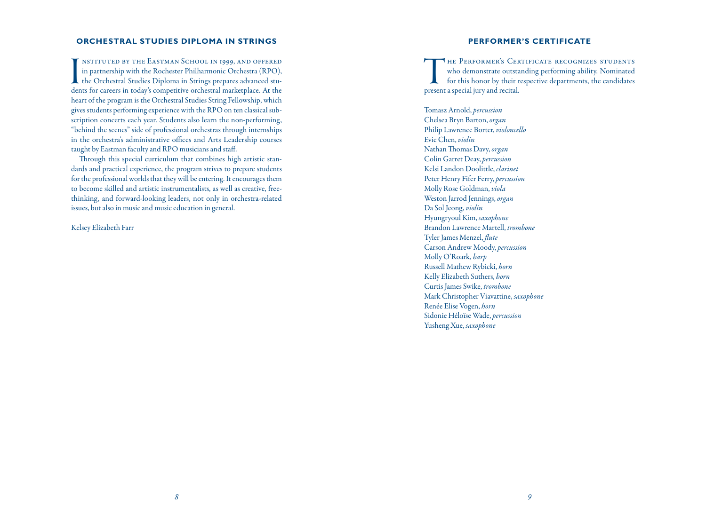### **ORCHESTRAL STUDIES DIPLOMA IN STRINGS**

I<br>der nstituted by the Eastman School in 1999, and offered in partnership with the Rochester Philharmonic Orchestra (RPO), the Orchestral Studies Diploma in Strings prepares advanced students for careers in today's competitive orchestral marketplace. At the heart of the program is the Orchestral Studies String Fellowship, which gives students performing experience with the RPO on ten classical subscription concerts each year. Students also learn the non-performing, "behind the scenes" side of professional orchestras through internships in the orchestra's administrative offices and Arts Leadership courses taught by Eastman faculty and RPO musicians and staff.

Through this special curriculum that combines high artistic standards and practical experience, the program strives to prepare students for the professional worlds that they will be entering. It encourages them to become skilled and artistic instrumentalists, as well as creative, freethinking, and forward-looking leaders, not only in orchestra-related issues, but also in music and music education in general.

Kelsey Elizabeth Farr

### **PERFORMER'S CERTIFICATE**

THE PERFORMER'S CERTIFICATE RECOGNIZES STUDENTS<br>who demonstrate outstanding performing ability. Nominated<br>for this honor by their respective departments, the candidates<br>present a special jury and recital. who demonstrate outstanding performing ability. Nominated for this honor by their respective departments, the candidates present a special jury and recital.

Tomasz Arnold, *percussion* Chelsea Bryn Barton, *organ* Philip Lawrence Borter, *violoncello* Evie Chen, *violin* Nathan Thomas Davy, *organ* Colin Garret Deay, *percussion* Kelsi Landon Doolittle, *clarinet* Peter Henry Fifer Ferry, *percussion* Molly Rose Goldman, *viola* Weston Jarrod Jennings, *organ* Da Sol Jeong, *violin* Hyungryoul Kim, *saxophone* Brandon Lawrence Martell, *trombone* Tyler James Menzel, *flute* Carson Andrew Moody, *percussion* Molly O'Roark, *harp* Russell Mathew Rybicki, *horn* Kelly Elizabeth Suthers, *horn* Curtis James Swike, *trombone* Mark Christopher Viavattine, *saxophone* Renée Elise Vogen, *horn* Sidonie Héloïse Wade, *percussion* Yusheng Xue, *saxophone*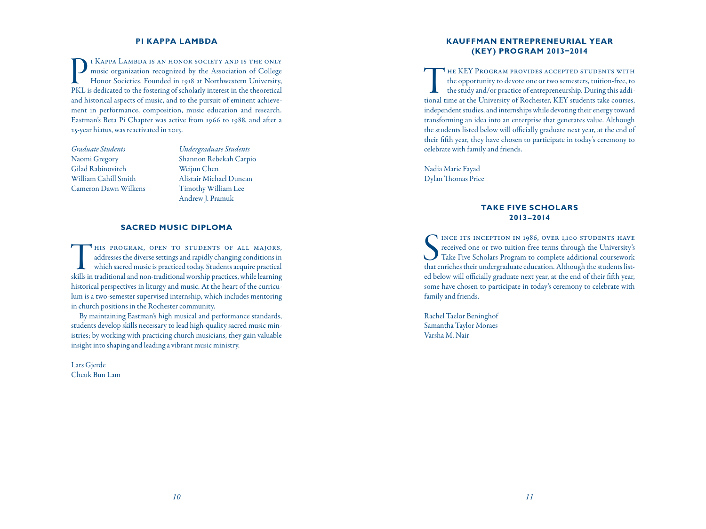### **PI KAPPA LAMBDA**

I KAPPA LAMBDA IS AN HONOR SOCIETY AND IS THE ONLY music organization recognized by the Association of College Honor Societies. Founded in 1918 at Northwestern University, PKL is dedicated to the fostering of scholarly int music organization recognized by the Association of College Honor Societies. Founded in 1918 at Northwestern University, PKL is dedicated to the fostering of scholarly interest in the theoretical and historical aspects of music, and to the pursuit of eminent achievement in performance, composition, music education and research. Eastman's Beta Pi Chapter was active from 1966 to 1988, and after a 25-year hiatus, was reactivated in 2013.

*Graduate Students* Naomi Gregory Gilad Rabinovitch William Cahill Smith Cameron Dawn Wilkens *Undergraduate Students* Shannon Rebekah Carpio Weijun Chen Alistair Michael Duncan Timothy William Lee Andrew J. Pramuk

### **SACRED MUSIC DIPLOMA**

HIS PROGRAM, OPEN TO STUDENTS OF ALL MAJORS, addresses the diverse settings and rapidly changing conditions in which sacred music is practiced today. Students acquire practical skills in traditional and non-traditional wor addresses the diverse settings and rapidly changing conditions in which sacred music is practiced today. Students acquire practical skills in traditional and non-traditional worship practices, while learning historical perspectives in liturgy and music. At the heart of the curriculum is a two-semester supervised internship, which includes mentoring in church positions in the Rochester community.

By maintaining Eastman's high musical and performance standards, students develop skills necessary to lead high-quality sacred music ministries; by working with practicing church musicians, they gain valuable insight into shaping and leading a vibrant music ministry.

Lars Gjerde Cheuk Bun Lam

## **KAUFFMAN ENTREPRENEURIAL YEAR (KEY) PROGRAM 2013–2014**

THE KEY PROGRAM PROVIDES ACCEPTED STUDENTS WITH<br>the opportunity to devote one or two semesters, tuition-free, to<br>the study and/or practice of entrepreneurship. During this addi-<br>tional time at the University of Rochester, the opportunity to devote one or two semesters, tuition-free, to the study and/or practice of entrepreneurship. During this additional time at the University of Rochester, KEY students take courses, independent studies, and internships while devoting their energy toward transforming an idea into an enterprise that generates value. Although the students listed below will officially graduate next year, at the end of their fifth year, they have chosen to participate in today's ceremony to celebrate with family and friends.

Nadia Marie Fayad Dylan Thomas Price

## **TAKE FIVE SCHOLARS 2013–2014**

SEN INCE ITS INCEPTION IN 1986, OVER 1,100 STUDENTS HAVE received one or two tuition-free terms through the University's Take Five Scholars Program to complete additional coursework that enriches their undergraduate educat INCE ITS INCEPTION IN 1986, OVER 1,100 STUDENTS HAVE received one or two tuition-free terms through the University's Take Five Scholars Program to complete additional coursework ed below will officially graduate next year, at the end of their fifth year, some have chosen to participate in today's ceremony to celebrate with family and friends.

Rachel Taelor Beninghof Samantha Taylor Moraes Varsha M. Nair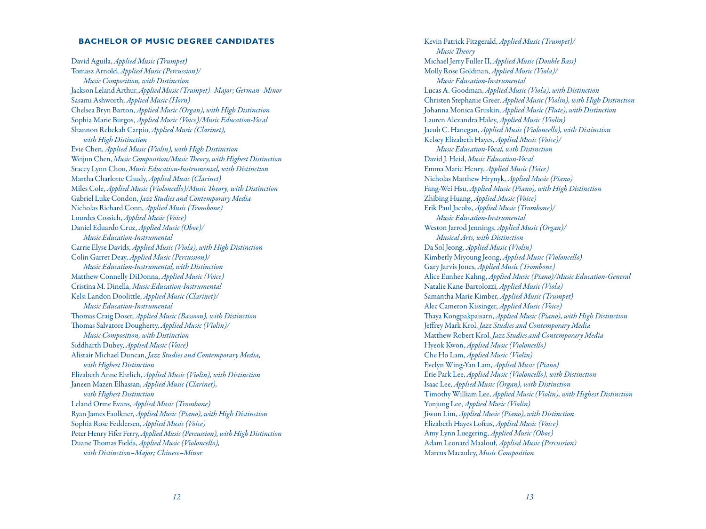#### **BACHELOR OF MUSIC DEGREE CANDIDATES**

David Aguila, *Applied Music (Trumpet)* Tomasz Arnold, *Applied Music (Percussion)/ Music Composition, with Distinction* Jackson Leland Arthur,*AppliedMusic(Trumpet)–Major;German–Minor* Sasami Ashworth, *Applied Music (Horn)* Chelsea Bryn Barton, *Applied Music (Organ), with High Distinction* Sophia Marie Burgos, *Applied Music (Voice)/Music Education-Vocal* Shannon Rebekah Carpio, *Applied Music (Clarinet), with High Distinction* Evie Chen, *Applied Music (Violin), with High Distinction* Weijun Chen, *MusicComposition/MusicTheory,with Highest Distinction* Stacey Lynn Chou, *Music Education-Instrumental, with Distinction* Martha Charlotte Chudy, *Applied Music (Clarinet)* Miles Cole, *Applied Music (Violoncello)/Music Theory, with Distinction* Gabriel Luke Condon, *Jazz Studies and Contemporary Media* Nicholas Richard Conn, *Applied Music (Trombone)* Lourdes Cossich, *Applied Music (Voice)* Daniel Eduardo Cruz, *Applied Music (Oboe)/ Music Education-Instrumental* Carrie Elyse Davids, *Applied Music (Viola), with High Distinction* Colin Garret Deay, *Applied Music (Percussion)/ Music Education-Instrumental, with Distinction* Matthew Connelly DiDonna, *Applied Music (Voice)*  Cristina M. Dinella, *Music Education-Instrumental* Kelsi Landon Doolittle, *Applied Music (Clarinet)/ Music Education-Instrumental* Thomas Craig Doser, *Applied Music (Bassoon), with Distinction* Thomas Salvatore Dougherty, *Applied Music (Violin)/ Music Composition, with Distinction* Siddharth Dubey, *Applied Music (Voice)* Alistair Michael Duncan, *Jazz Studies and Contemporary Media, with Highest Distinction* Elizabeth Anne Ehrlich, *Applied Music (Violin), with Distinction* Janeen Mazen Elhassan, *Applied Music (Clarinet), with Highest Distinction* Leland Orme Evans, *Applied Music (Trombone)* Ryan James Faulkner, *Applied Music (Piano), with High Distinction* Sophia Rose Feddersen, *Applied Music (Voice)* Peter Henry Fifer Ferry, Applied Music (Percussion), with High Distinction Duane Thomas Fields, *Applied Music (Violoncello), with Distinction–Major; Chinese–Minor*

Kevin Patrick Fitzgerald, *Applied Music (Trumpet)/ Music Theory* Michael Jerry Fuller II, *Applied Music (Double Bass)* Molly Rose Goldman, *Applied Music (Viola)/ Music Education-Instrumental* Lucas A. Goodman, *Applied Music (Viola), with Distinction* Christen Stephanie Greer, *Applied Music(Violin), with High Distinction* Johanna Monica Gruskin, *Applied Music (Flute), with Distinction* Lauren Alexandra Haley, *Applied Music (Violin)* Jacob C. Hanegan, *Applied Music (Violoncello), with Distinction* Kelsey Elizabeth Hayes, *Applied Music (Voice)/ Music Education-Vocal, with Distinction* David J. Heid, *Music Education-Vocal* Emma Marie Henry, *Applied Music (Voice)* Nicholas Matthew Hrynyk, *Applied Music (Piano)* Fang-Wei Hsu, *Applied Music (Piano), with High Distinction* Zhibing Huang, *Applied Music (Voice)* Erik Paul Jacobs, *Applied Music (Trombone)/ Music Education-Instrumental* Weston Jarrod Jennings, *Applied Music (Organ)/ Musical Arts, with Distinction* Da Sol Jeong, *Applied Music (Violin)* Kimberly Miyoung Jeong, *Applied Music (Violoncello)* Gary Jarvis Jones, *Applied Music (Trombone)* Alice Eunhee Kahng, *Applied Music (Piano)/Music Education-General* Natalie Kane-Bartolozzi, *Applied Music (Viola)* Samantha Marie Kimber, *Applied Music (Trumpet)* Alec Cameron Kissinger, *Applied Music (Voice)* Thaya Kongpakpaisarn, *Applied Music (Piano), with High Distinction* Jeffrey Mark Krol, *Jazz Studies and Contemporary Media* Matthew Robert Krol, *Jazz Studies and Contemporary Media* Hyeok Kwon, *Applied Music (Violoncello)* Che Ho Lam, *Applied Music (Violin)* Evelyn Wing-Yan Lam, *Applied Music (Piano)* Erie Park Lee, *Applied Music (Violoncello), with Distinction* Isaac Lee, *Applied Music (Organ), with Distinction* Timothy William Lee, *Applied Music (Violin), with Highest Distinction* Yunjung Lee, *Applied Music (Violin)* Jiwon Lim, *Applied Music (Piano), with Distinction* Elizabeth Hayes Loftus, *Applied Music (Voice)* Amy Lynn Luegering, *Applied Music (Oboe)* Adam Leonard Maalouf, *Applied Music (Percussion)* Marcus Macauley, *Music Composition*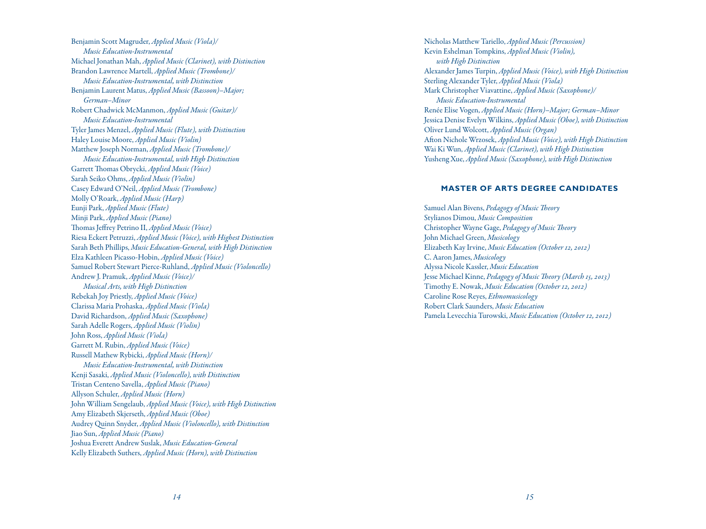Benjamin Scott Magruder, *Applied Music (Viola)/ Music Education-Instrumental* Michael Jonathan Mah, *Applied Music (Clarinet), with Distinction* Brandon Lawrence Martell, *Applied Music (Trombone)/ Music Education-Instrumental, with Distinction* Benjamin Laurent Matus, *Applied Music (Bassoon)–Major; German–Minor* Robert Chadwick McManmon, *Applied Music (Guitar)/ Music Education-Instrumental* Tyler James Menzel, *Applied Music (Flute), with Distinction* Haley Louise Moore, *Applied Music (Violin)* Matthew Joseph Norman, *Applied Music (Trombone)/ Music Education-Instrumental, with High Distinction* Garrett Thomas Obrycki, *Applied Music (Voice)* Sarah Seiko Ohms, *Applied Music (Violin)* Casey Edward O'Neil, *Applied Music (Trombone)* Molly O'Roark, *Applied Music (Harp)* Eunji Park, *Applied Music (Flute)* Minji Park, *Applied Music (Piano)* Thomas Jeffrey Petrino II, *Applied Music (Voice)* Riesa Eckert Petruzzi, *Applied Music (Voice), with Highest Distinction* Sarah Beth Phillips, *Music Education-General, with High Distinction* Elza Kathleen Picasso-Hobin, *Applied Music (Voice)* Samuel Robert Stewart Pierce-Ruhland, *Applied Music (Violoncello)* Andrew J. Pramuk, *Applied Music (Voice)/ Musical Arts, with High Distinction* Rebekah Joy Priestly, *Applied Music (Voice)* Clarissa Maria Prohaska, *Applied Music (Viola)* David Richardson, *Applied Music (Saxophone)* Sarah Adelle Rogers, *Applied Music (Violin)* John Ross, *Applied Music (Viola)* Garrett M. Rubin, *Applied Music (Voice)* Russell Mathew Rybicki, *Applied Music (Horn)/ Music Education-Instrumental, with Distinction* Kenji Sasaki, *Applied Music (Violoncello), with Distinction* Tristan Centeno Savella, *Applied Music (Piano)* Allyson Schuler, *Applied Music (Horn)* John William Sengelaub, *Applied Music (Voice), with High Distinction* Amy Elizabeth Skjerseth, *Applied Music (Oboe)* Audrey Quinn Snyder, *Applied Music (Violoncello), with Distinction* Jiao Sun, *Applied Music (Piano)* Joshua Everett Andrew Suslak, *Music Education-General* Kelly Elizabeth Suthers, *Applied Music (Horn), with Distinction*

Nicholas Matthew Tariello, *Applied Music (Percussion)* Kevin Eshelman Tompkins, *Applied Music (Violin), with High Distinction* Alexander James Turpin, *Applied Music (Voice), with High Distinction* Sterling Alexander Tyler, *Applied Music (Viola)* Mark Christopher Viavattine, *Applied Music (Saxophone)/ Music Education-Instrumental* Renée Elise Vogen, *Applied Music (Horn)–Major; German–Minor* Jessica Denise Evelyn Wilkins, *Applied Music (Oboe), with Distinction* Oliver Lund Wolcott, *Applied Music (Organ)* Afton Nichole Wrzosek, *Applied Music (Voice), with High Distinction* Wai Ki Wun, *Applied Music (Clarinet), with High Distinction* Yusheng Xue, *Applied Music (Saxophone), with High Distinction*

#### **MASTER OF ARTS DEGREE CANDIDATES**

Samuel Alan Bivens, *Pedagogy of Music Theory* Stylianos Dimou, *Music Composition* Christopher Wayne Gage, *Pedagogy of Music Theory* John Michael Green, *Musicology* Elizabeth Kay Irvine, *Music Education (October 12, 2012)* C. Aaron James, *Musicology* Alyssa Nicole Kassler, *Music Education* Jesse Michael Kinne, *Pedagogy of Music Theory (March 15, 2013)* Timothy E. Nowak, *Music Education (October 12, 2012)* Caroline Rose Reyes, *Ethnomusicology* Robert Clark Saunders, *Music Education* Pamela Levecchia Turowski, *Music Education (October 12, 2012)*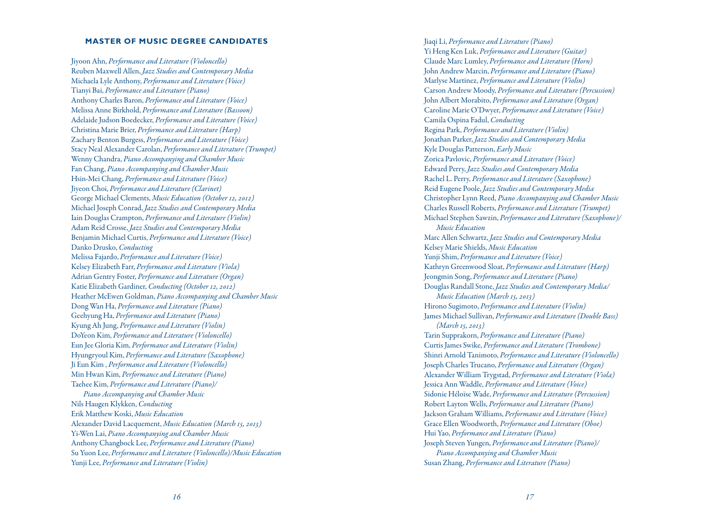#### **MASTER OF MUSIC DEGREE CANDIDATES**

Jiyoon Ahn, *Performance and Literature (Violoncello)* Reuben Maxwell Allen, *Jazz Studies and Contemporary Media* Michaela Lyle Anthony, *Performance and Literature (Voice)* Tianyi Bai, *Performance and Literature (Piano)* Anthony Charles Baron, *Performance and Literature (Voice)* Melissa Anne Birkhold, *Performance and Literature (Bassoon)* Adelaide Judson Boedecker, *Performance and Literature (Voice)* Christina Marie Brier, *Performance and Literature (Harp)* Zachary Benton Burgess, *Performance and Literature (Voice)* Stacy Neal Alexander Carolan, *Performance and Literature (Trumpet)* Wenny Chandra, *Piano Accompanying and Chamber Music* Fan Chang, *Piano Accompanying and Chamber Music* Hsin-Mei Chang, *Performance and Literature (Voice)* Jiyeon Choi, *Performance and Literature (Clarinet)* George Michael Clements, *Music Education (October 12, 2012)* Michael Joseph Conrad, *Jazz Studies and Contemporary Media* Iain Douglas Crampton, *Performance and Literature (Violin)* Adam Reid Crosse, *Jazz Studies and Contemporary Media* Benjamin Michael Curtis, *Performance and Literature (Voice)* Danko Drusko, *Conducting* Melissa Fajardo, *Performance and Literature (Voice)* Kelsey Elizabeth Farr, *Performance and Literature (Viola)* Adrian Gentry Foster, *Performance and Literature (Organ)* Katie Elizabeth Gardiner, *Conducting (October 12, 2012)* Heather McEwen Goldman, *Piano Accompanying and Chamber Music* Dong Wan Ha, *Performance and Literature (Piano)* Geehyung Ha, *Performance and Literature (Piano)* Kyung Ah Jung, *Performance and Literature (Violin)* DoYeon Kim, *Performance and Literature (Violoncello)* Eun Jee Gloria Kim, *Performance and Literature (Violin)* Hyungryoul Kim, *Performance and Literature (Saxophone)* Ji Eun Kim , *Performance and Literature (Violoncello)* Min Hwan Kim, *Performance and Literature (Piano)* Taehee Kim, *Performance and Literature (Piano)/ Piano Accompanying and Chamber Music* Nils Haugen Klykken, *Conducting*

Erik Matthew Koski, *Music Education* Alexander David Lacquement, *Music Education (March 15, 2013)* Yi-Wen Lai, *Piano Accompanying and Chamber Music* Anthony Changbock Lee, *Performance and Literature (Piano)* Su Yuon Lee, *Performance and Literature (Violoncello)/Music Education* Yunji Lee, *Performance and Literature (Violin)*

Jiaqi Li, *Performance and Literature (Piano)* Yi Heng Ken Luk, *Performance and Literature (Guitar)* Claude Marc Lumley, *Performance and Literature (Horn)* John Andrew Marcin, *Performance and Literature (Piano)* Marlyse Martinez, *Performance and Literature (Violin)* Carson Andrew Moody, *Performance and Literature (Percussion)* John Albert Morabito, *Performance and Literature (Organ)* Caroline Marie O'Dwyer, *Performance and Literature (Voice)* Camila Ospina Fadul, *Conducting* Regina Park, *Performance and Literature (Violin)* Jonathan Parker, *Jazz Studies and Contemporary Media* Kyle Douglas Patterson, *Early Music* Zorica Pavlovic, *Performance and Literature (Voice)* Edward Perry, *Jazz Studies and Contemporary Media* Rachel L. Perry, *Performance and Literature (Saxophone)* Reid Eugene Poole, *Jazz Studies and Contemporary Media* Christopher Lynn Reed, *Piano Accompanying and Chamber Music* Charles Russell Roberts, *Performance and Literature (Trumpet)* Michael Stephen Sawzin, *Performance and Literature (Saxophone)/ Music Education* Marc Allen Schwartz, *Jazz Studies and Contemporary Media* Kelsey Marie Shields, *Music Education* Yunji Shim, *Performance and Literature (Voice)* Kathryn Greenwood Sloat, *Performance and Literature (Harp)* Jeongmin Song, *Performance and Literature (Piano)* Douglas Randall Stone, *Jazz Studies and Contemporary Media/ Music Education (March 15, 2013)* Hirono Sugimoto, *Performance and Literature (Violin)* James Michael Sullivan, *Performance and Literature (Double Bass) (March 15, 2013)* Tarin Supprakorn, *Performance and Literature (Piano)* Curtis James Swike, *Performance and Literature (Trombone)* Shinri Arnold Tanimoto, *Performance and Literature (Violoncello)* Joseph Charles Trucano, *Performance and Literature (Organ)* Alexander William Trygstad, *Performance and Literature (Viola)* Jessica Ann Waddle, *Performance and Literature (Voice)* Sidonie Héloïse Wade, *Performance and Literature (Percussion)* Robert Layton Wells, *Performance and Literature (Piano)* Jackson Graham Williams, *Performance and Literature (Voice)* Grace Ellen Woodworth, *Performance and Literature (Oboe)* Hui Yao, *Performance and Literature (Piano)* Joseph Steven Yungen, *Performance and Literature (Piano)/ Piano Accompanying and Chamber Music* Susan Zhang, *Performance and Literature (Piano)*